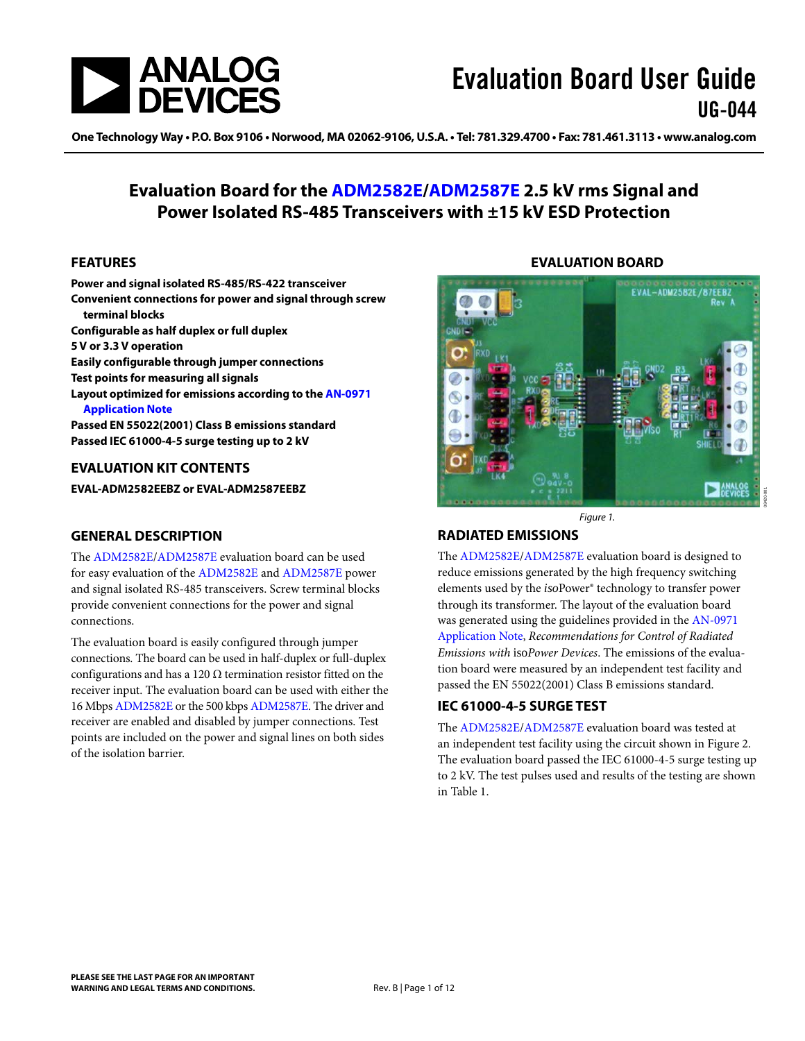

One Technology Way • P.O. Box 9106 • Norwood, MA 02062-9106, U.S.A. • Tel: 781.329.4700 • Fax: 781.461.3113 • www.analog.com

### **Evaluation Board for the [ADM2582E/](http://www.analog.com/ADM2582E)[ADM2587E](http://www.analog.com/ADM2587E) 2.5 kV rms Signal and Power Isolated RS-485 Transceivers with ±15 kV ESD Protection**

#### <span id="page-0-0"></span>**FEATURES**

**Power and signal isolated RS-485/RS-422 transceiver Convenient connections for power and signal through screw terminal blocks Configurable as half duplex or full duplex 5 V or 3.3 V operation Easily configurable through jumper connections Test points for measuring all signals Layout optimized for emissions according to th[e AN-0971](http://www.analog.com/AN0971)  [Application Note](http://www.analog.com/AN0971) Passed EN 55022(2001) Class B emissions standard Passed IEC 61000-4-5 surge testing up to 2 kV** 

#### <span id="page-0-1"></span>**EVALUATION KIT CONTENTS**

**EVAL-ADM2582EEBZ or EVAL-ADM2587EEBZ** 

#### <span id="page-0-2"></span>**GENERAL DESCRIPTION**

The [ADM2582E](http://www.analog.com/ADM2582E)[/ADM2587E](http://www.analog.com/ADM2587E) evaluation board can be used for easy evaluation of the [ADM2582E a](http://www.analog.com/ADM2582E)nd [ADM2587E p](http://www.analog.com/ADM2587E)ower and signal isolated RS-485 transceivers. Screw terminal blocks provide convenient connections for the power and signal connections.

The evaluation board is easily configured through jumper connections. The board can be used in half-duplex or full-duplex configurations and has a 120  $\Omega$  termination resistor fitted on the receiver input. The evaluation board can be used with either the 16 Mbp[s ADM2582E o](http://www.analog.com/ADM2582E)r the 500 kbp[s ADM2587E.](http://www.analog.com/ADM2587E) The driver and receiver are enabled and disabled by jumper connections. Test points are included on the power and signal lines on both sides of the isolation barrier.

#### **EVALUATION BOARD**

<span id="page-0-3"></span>

Figure 1.

#### <span id="page-0-4"></span>**RADIATED EMISSIONS**

The [ADM2582E](http://www.analog.com/ADM2582E)[/ADM2587E](http://www.analog.com/ADM2587E) evaluation board is designed to reduce emissions generated by the high frequency switching elements used by the *iso*Power® technology to transfer power through its transformer. The layout of the evaluation board was generated using the guidelines provided in th[e AN-0971](http://www.analog.com/AN0971)  [Application Note,](http://www.analog.com/AN0971) *Recommendations for Control of Radiated Emissions with* iso*Power Devices*. The emissions of the evaluation board were measured by an independent test facility and passed the EN 55022(2001) Class B emissions standard.

#### <span id="page-0-5"></span>**IEC 61000-4-5 SURGE TEST**

The [ADM2582E](http://www.analog.com/ADM2582E)[/ADM2587E](http://www.analog.com/ADM2587E) evaluation board was tested at an independent test facility using the circuit shown in [Figure 2.](#page-2-0)  The evaluation board passed the IEC 61000-4-5 surge testing up to 2 kV. The test pulses used and results of the testing are shown in [Table 1.](#page-2-1)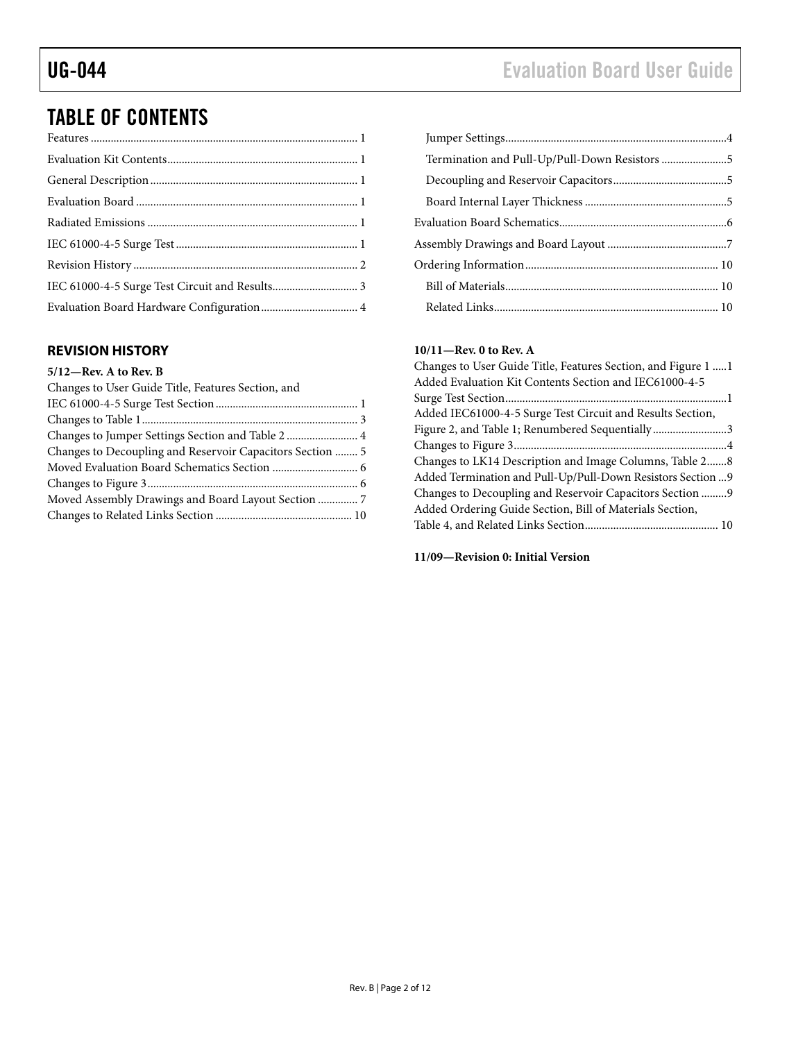## TABLE OF CONTENTS

#### <span id="page-1-0"></span>**REVISION HISTORY**

#### **5/12—Rev. A to Rev. B**

| Changes to User Guide Title, Features Section, and        |  |
|-----------------------------------------------------------|--|
|                                                           |  |
|                                                           |  |
|                                                           |  |
| Changes to Decoupling and Reservoir Capacitors Section  5 |  |
|                                                           |  |
|                                                           |  |
| Moved Assembly Drawings and Board Layout Section  7       |  |
|                                                           |  |

| Termination and Pull-Up/Pull-Down Resistors 5 |  |
|-----------------------------------------------|--|
|                                               |  |
|                                               |  |
|                                               |  |
|                                               |  |
|                                               |  |
|                                               |  |
|                                               |  |

#### **10/11—Rev. 0 to Rev. A**

| Changes to User Guide Title, Features Section, and Figure 1  1 |
|----------------------------------------------------------------|
| Added Evaluation Kit Contents Section and IEC61000-4-5         |
|                                                                |
| Added IEC61000-4-5 Surge Test Circuit and Results Section,     |
| Figure 2, and Table 1; Renumbered Sequentially3                |
|                                                                |
| Changes to LK14 Description and Image Columns, Table 28        |
| Added Termination and Pull-Up/Pull-Down Resistors Section  9   |
| Changes to Decoupling and Reservoir Capacitors Section 9       |
| Added Ordering Guide Section, Bill of Materials Section,       |
|                                                                |
|                                                                |

**11/09—Revision 0: Initial Version**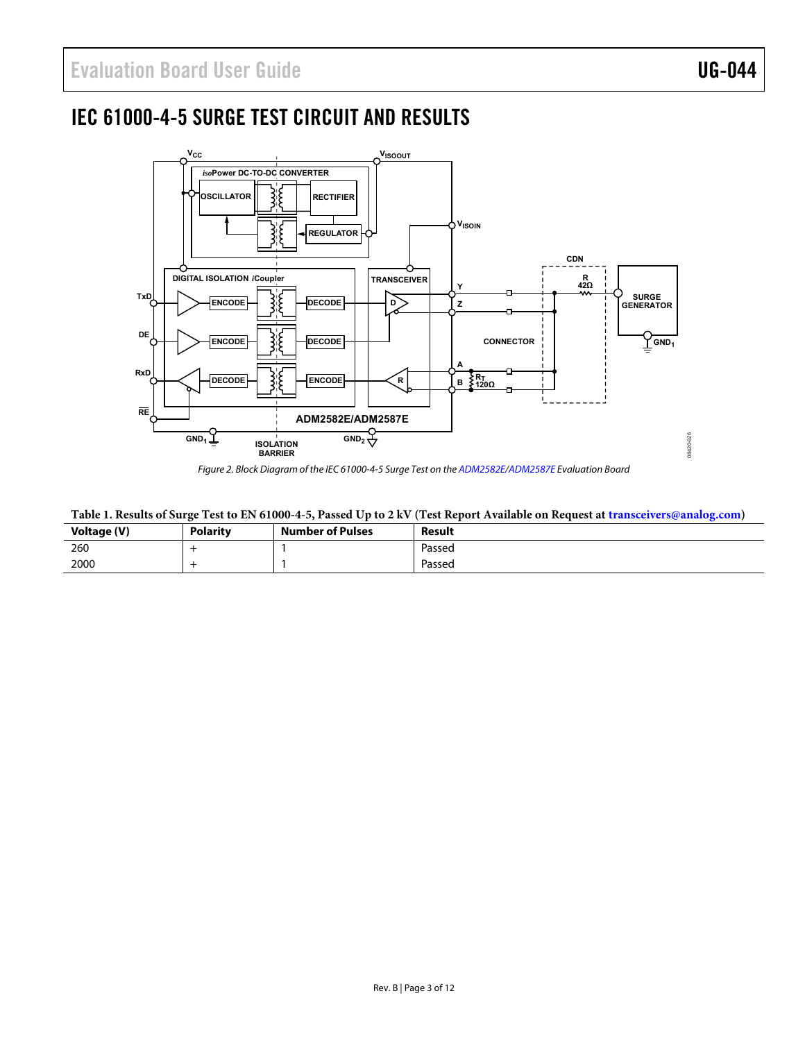## <span id="page-2-2"></span>IEC 61000-4-5 SURGE TEST CIRCUIT AND RESULTS



Figure 2. Block Diagram of the IEC 61000-4-5 Surge Test on the [ADM2582E/](http://www.analog.com/ADM2582E)[ADM2587E E](http://www.analog.com/ADM2587E)valuation Board

#### <span id="page-2-1"></span><span id="page-2-0"></span>**Table 1. Results of Surge Test to EN 61000-4-5, Passed Up to 2 kV (Test Report Available on Request at [transceivers@analog.com\)](mailto:transceivers@analog.com)**

| Voltage (V) | Polarity | <b>Number of Pulses</b> | Result |
|-------------|----------|-------------------------|--------|
| 260         |          |                         | Passed |
| 2000        |          |                         | Passed |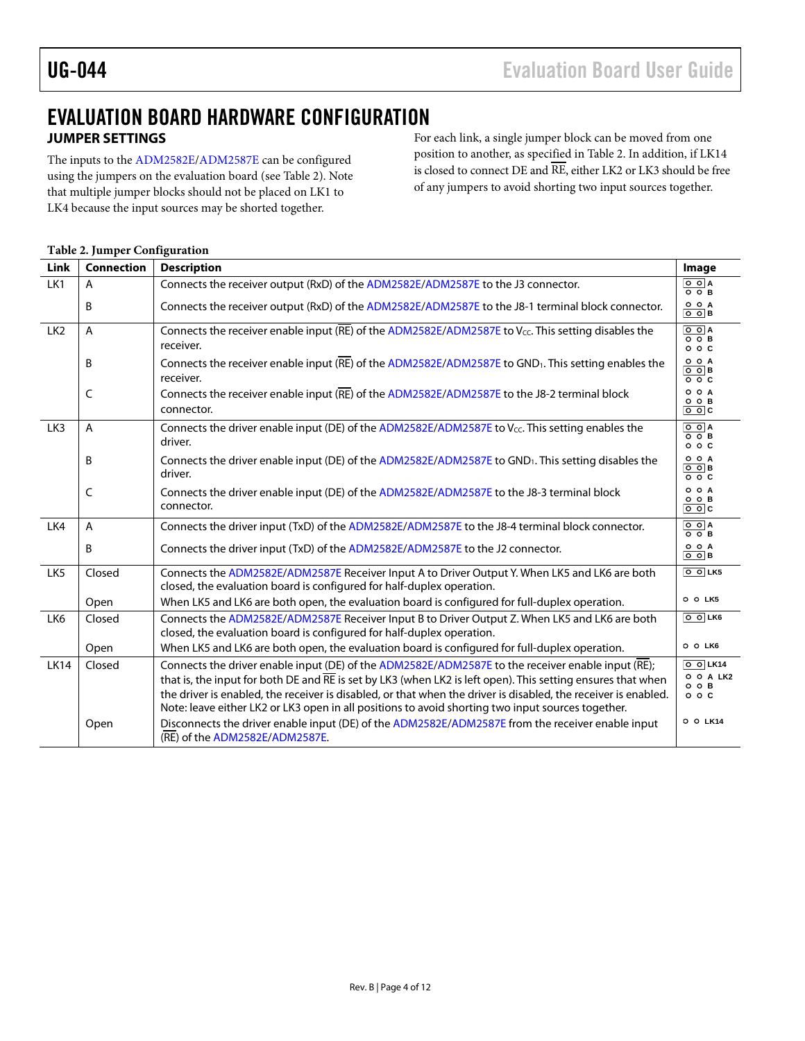## <span id="page-3-0"></span>EVALUATION BOARD HARDWARE CONFIGURATION **JUMPER SETTINGS**

<span id="page-3-1"></span>The inputs to the [ADM2582E](http://www.analog.com/ADM2582E)[/ADM2587E](http://www.analog.com/ADM2587E) can be configured using the jumpers on the evaluation board (see [Table 2\)](#page-3-2). Note that multiple jumper blocks should not be placed on LK1 to LK4 because the input sources may be shorted together.

For each link, a single jumper block can be moved from one position to another, as specified in [Table 2.](#page-3-2) In addition, if LK14 is closed to connect DE and RE, either LK2 or LK3 should be free of any jumpers to avoid shorting two input sources together.

#### <span id="page-3-2"></span>**Table 2. Jumper Configuration**

| Link            | <b>Connection</b> | <b>Description</b>                                                                                                                                                                                                                                                                                                                                                                                                                      | Image                                                                     |
|-----------------|-------------------|-----------------------------------------------------------------------------------------------------------------------------------------------------------------------------------------------------------------------------------------------------------------------------------------------------------------------------------------------------------------------------------------------------------------------------------------|---------------------------------------------------------------------------|
| LK1             | A                 | Connects the receiver output (RxD) of the ADM2582E/ADM2587E to the J3 connector.                                                                                                                                                                                                                                                                                                                                                        | $\circ$ $\circ$ A<br>$\overline{\circ}$ $\overline{\circ}$ B              |
|                 | B                 | Connects the receiver output (RxD) of the ADM2582E/ADM2587E to the J8-1 terminal block connector.                                                                                                                                                                                                                                                                                                                                       | O O A<br>∣⊙ ிв                                                            |
| LK <sub>2</sub> | A                 | Connects the receiver enable input ( $\overline{RE}$ ) of the ADM2582E/ADM2587E to V <sub>cc</sub> . This setting disables the<br>receiver.                                                                                                                                                                                                                                                                                             |                                                                           |
|                 | B                 | Connects the receiver enable input (RE) of the ADM2582E/ADM2587E to GND <sub>1</sub> . This setting enables the<br>receiver.                                                                                                                                                                                                                                                                                                            | O O A<br>$\circ$ $\circ$ B<br>$\circ$ $\circ$ $\circ$                     |
|                 | C                 | Connects the receiver enable input (RE) of the ADM2582E/ADM2587E to the J8-2 terminal block<br>connector.                                                                                                                                                                                                                                                                                                                               | O O A<br>$O$ $O$ $B$<br>$\circ$ $\circ$ $\circ$                           |
| LK3             | A                 | Connects the driver enable input (DE) of the ADM2582E/ADM2587E to Vcc. This setting enables the<br>driver.                                                                                                                                                                                                                                                                                                                              | $\overline{O}$ $\overline{O}$ A<br>$O$ $O$ $B$<br>$\circ$ $\circ$ $\circ$ |
|                 | B                 | Connects the driver enable input (DE) of the ADM2582E/ADM2587E to GND <sub>1</sub> . This setting disables the<br>driver.                                                                                                                                                                                                                                                                                                               | O O A<br>$\circ$ $\circ$ B<br>$\circ$ $\circ$ $\circ$                     |
|                 | C                 | Connects the driver enable input (DE) of the ADM2582E/ADM2587E to the J8-3 terminal block<br>connector.                                                                                                                                                                                                                                                                                                                                 | O O A<br>$O$ $O$ $B$<br>$\overline{\circ}$ $\circ$                        |
| LK4             | A                 | Connects the driver input (TxD) of the ADM2582E/ADM2587E to the J8-4 terminal block connector.                                                                                                                                                                                                                                                                                                                                          | $\overline{\circ}$ ola<br>$\overline{\circ}$ $\overline{\circ}$ B         |
|                 | B                 | Connects the driver input (TxD) of the ADM2582E/ADM2587E to the J2 connector.                                                                                                                                                                                                                                                                                                                                                           | O O A<br>$\circ$ $\circ$ B                                                |
| LK <sub>5</sub> | Closed            | Connects the ADM2582E/ADM2587E Receiver Input A to Driver Output Y. When LK5 and LK6 are both<br>closed, the evaluation board is configured for half-duplex operation.                                                                                                                                                                                                                                                                  | $\boxed{0}$ $\boxed{0}$ LK5                                               |
|                 | Open              | When LK5 and LK6 are both open, the evaluation board is configured for full-duplex operation.                                                                                                                                                                                                                                                                                                                                           | O O LK5                                                                   |
| LK6             | Closed            | Connects the ADM2582E/ADM2587E Receiver Input B to Driver Output Z. When LK5 and LK6 are both<br>closed, the evaluation board is configured for half-duplex operation.                                                                                                                                                                                                                                                                  | $\circ$ $\circ$ LK6                                                       |
|                 | Open              | When LK5 and LK6 are both open, the evaluation board is configured for full-duplex operation.                                                                                                                                                                                                                                                                                                                                           | O O LK6                                                                   |
| <b>LK14</b>     | Closed            | Connects the driver enable input (DE) of the ADM2582E/ADM2587E to the receiver enable input (RE);<br>that is, the input for both DE and RE is set by LK3 (when LK2 is left open). This setting ensures that when<br>the driver is enabled, the receiver is disabled, or that when the driver is disabled, the receiver is enabled.<br>Note: leave either LK2 or LK3 open in all positions to avoid shorting two input sources together. | $\boxed{0}$ $\boxed{0}$ LK14<br>O O A LK2<br>$O$ $O$ $B$<br>00C           |
|                 | Open              | Disconnects the driver enable input (DE) of the ADM2582E/ADM2587E from the receiver enable input<br>(RE) of the ADM2582E/ADM2587E.                                                                                                                                                                                                                                                                                                      | O O LK14                                                                  |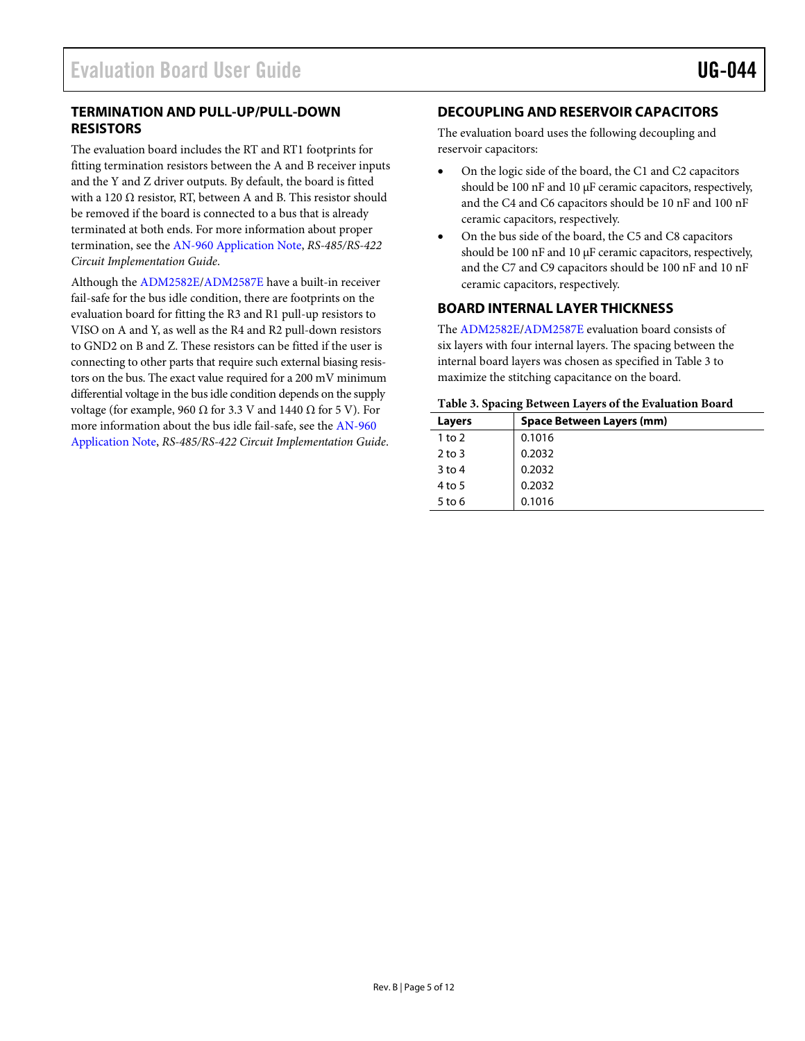#### <span id="page-4-0"></span>**TERMINATION AND PULL-UP/PULL-DOWN RESISTORS**

The evaluation board includes the RT and RT1 footprints for fitting termination resistors between the A and B receiver inputs and the Y and Z driver outputs. By default, the board is fitted with a 120  $\Omega$  resistor, RT, between A and B. This resistor should be removed if the board is connected to a bus that is already terminated at both ends. For more information about proper termination, see th[e AN-960 Application Note,](http://www.analog.com/AN-960) *RS-485/RS-422 Circuit Implementation Guide*.

Although th[e ADM2582E](http://www.analog.com/ADM2582E)[/ADM2587E](http://www.analog.com/ADM2587E) have a built-in receiver fail-safe for the bus idle condition, there are footprints on the evaluation board for fitting the R3 and R1 pull-up resistors to VISO on A and Y, as well as the R4 and R2 pull-down resistors to GND2 on B and Z. These resistors can be fitted if the user is connecting to other parts that require such external biasing resistors on the bus. The exact value required for a 200 mV minimum differential voltage in the bus idle condition depends on the supply voltage (for example, 960 Ω for 3.3 V and 1440 Ω for 5 V). For more information about the bus idle fail-safe, see th[e AN-960](http://www.analog.com/AN-960)  [Application Note,](http://www.analog.com/AN-960) *RS-485/RS-422 Circuit Implementation Guide*.

#### <span id="page-4-1"></span>**DECOUPLING AND RESERVOIR CAPACITORS**

The evaluation board uses the following decoupling and reservoir capacitors:

- On the logic side of the board, the C1 and C2 capacitors should be 100 nF and 10  $\mu$ F ceramic capacitors, respectively, and the C4 and C6 capacitors should be 10 nF and 100 nF ceramic capacitors, respectively.
- On the bus side of the board, the C5 and C8 capacitors should be 100 nF and 10  $\mu$ F ceramic capacitors, respectively, and the C7 and C9 capacitors should be 100 nF and 10 nF ceramic capacitors, respectively.

#### <span id="page-4-2"></span>**BOARD INTERNAL LAYER THICKNESS**

The [ADM2582E](http://www.analog.com/ADM2582E)[/ADM2587E](http://www.analog.com/ADM2587E) evaluation board consists of six layers with four internal layers. The spacing between the internal board layers was chosen as specified in [Table 3](#page-4-3) to maximize the stitching capacitance on the board.

#### <span id="page-4-3"></span>**Table 3. Spacing Between Layers of the Evaluation Board**

| Layers   | <b>Space Between Layers (mm)</b> |
|----------|----------------------------------|
| 1 to $2$ | 0.1016                           |
| $2$ to 3 | 0.2032                           |
| $3$ to 4 | 0.2032                           |
| 4 to 5   | 0.2032                           |
| $5$ to 6 | 0.1016                           |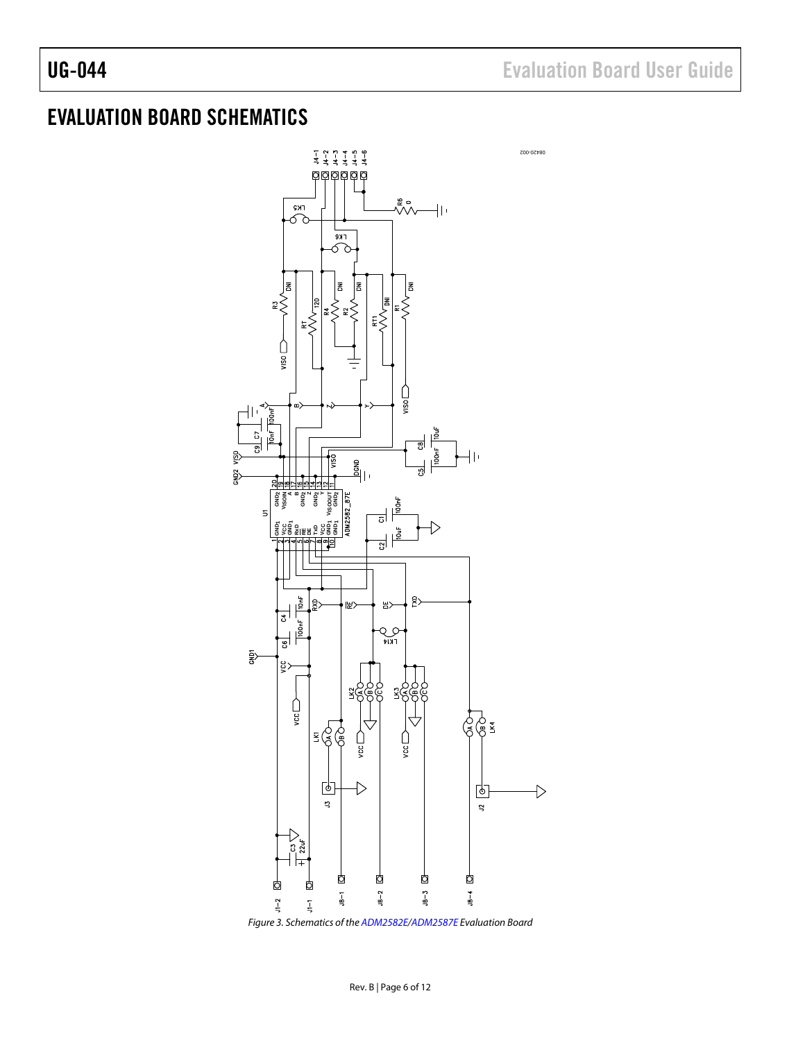## <span id="page-5-0"></span>EVALUATION BOARD SCHEMATICS



*Figure 3. Schematics of th[e ADM2582E/](http://www.analog.com/ADM2582E)[ADM2587E](http://www.analog.com/ADM2587E) Evaluation Board*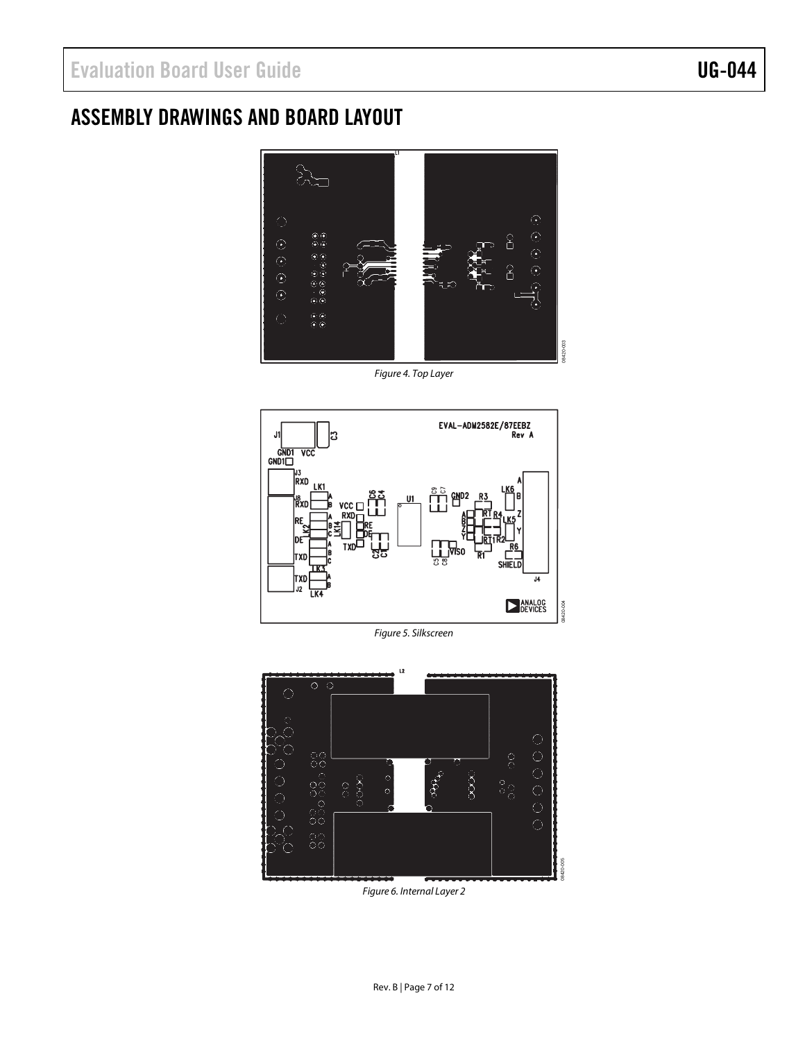## <span id="page-6-0"></span>ASSEMBLY DRAWINGS AND BOARD LAYOUT



*Figure 4. Top Layer*



*Figure 5. Silkscreen*



*Figure 6. Internal Layer 2*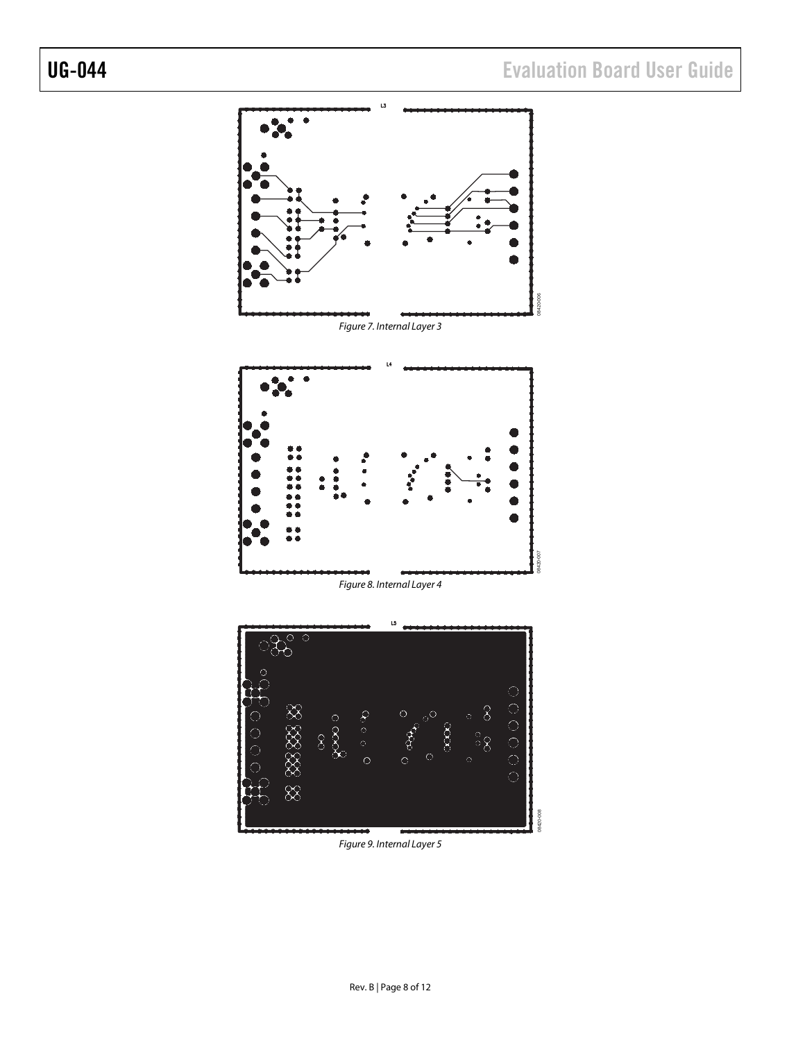

*Figure 9. Internal Layer 5*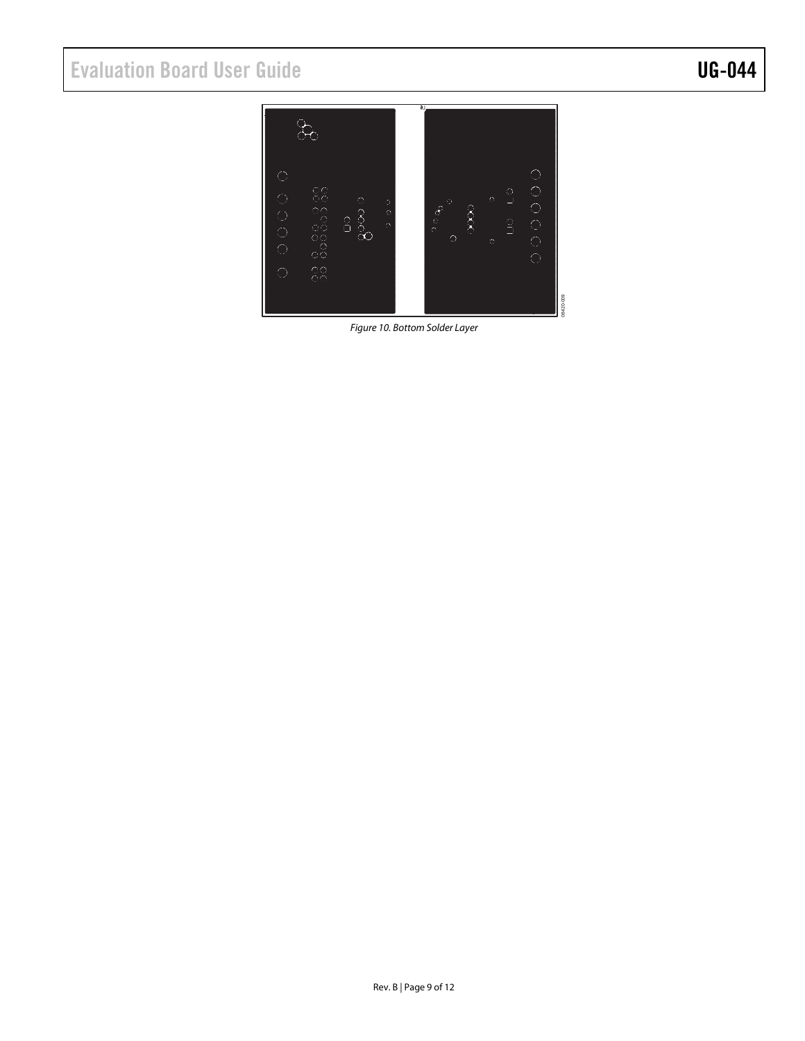# Evaluation Board User Guide Contract Contract Contract Contract Contract Contract Contract UG-044



*Figure 10. Bottom Solder Layer*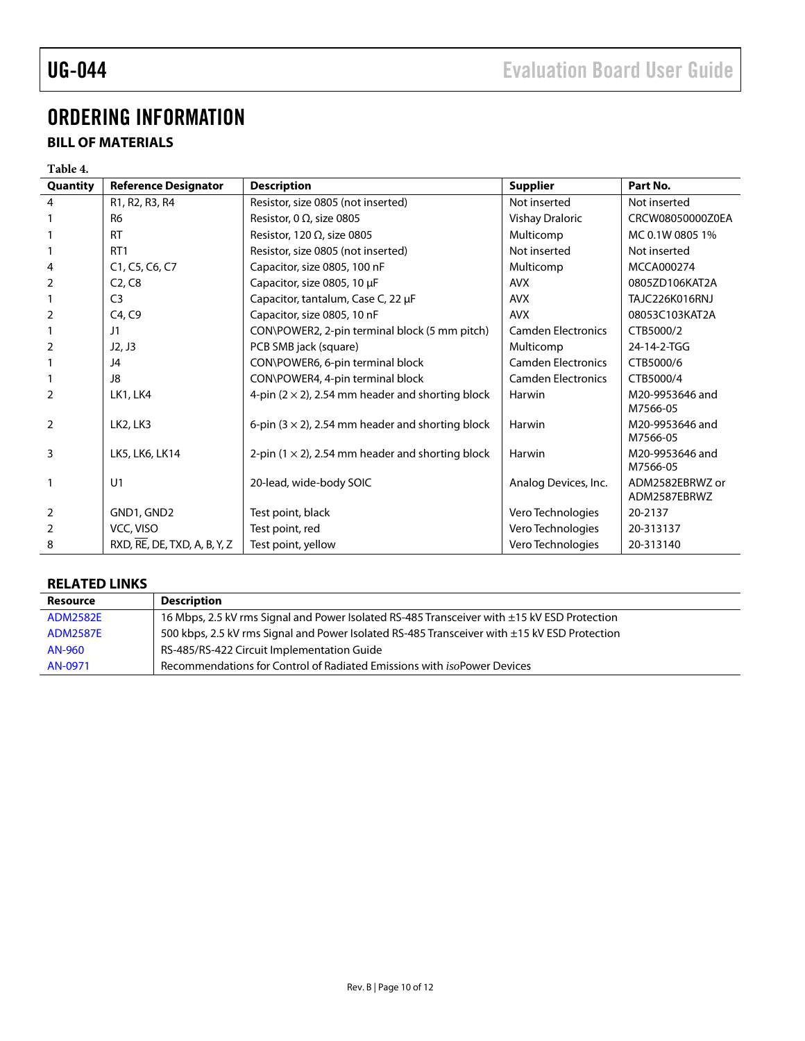# UG-044 Evaluation Board User Guide

## <span id="page-9-0"></span>ORDERING INFORMATION

### <span id="page-9-1"></span>**BILL OF MATERIALS**

#### **Table 4.**

| Quantity       | <b>Reference Designator</b>                         | <b>Description</b>                                       | <b>Supplier</b>           | Part No.                        |
|----------------|-----------------------------------------------------|----------------------------------------------------------|---------------------------|---------------------------------|
| 4              | R1, R2, R3, R4                                      | Resistor, size 0805 (not inserted)                       | Not inserted              | Not inserted                    |
|                | R <sub>6</sub>                                      | Resistor, 0 $\Omega$ , size 0805                         | Vishay Draloric           | CRCW08050000Z0EA                |
|                | <b>RT</b>                                           | Resistor, 120 $\Omega$ , size 0805                       | Multicomp                 | MC 0.1W 0805 1%                 |
|                | RT <sub>1</sub>                                     | Resistor, size 0805 (not inserted)                       | Not inserted              | Not inserted                    |
| 4              | C1, C5, C6, C7                                      | Capacitor, size 0805, 100 nF                             | Multicomp                 | MCCA000274                      |
| 2              | C <sub>2</sub> , C <sub>8</sub>                     | Capacitor, size 0805, 10 µF                              | <b>AVX</b>                | 0805ZD106KAT2A                  |
|                | C <sub>3</sub>                                      | Capacitor, tantalum, Case C, 22 µF                       | <b>AVX</b>                | TAJC226K016RNJ                  |
| 2              | C4, C9                                              | Capacitor, size 0805, 10 nF                              | <b>AVX</b>                | 08053C103KAT2A                  |
|                | J1                                                  | CON\POWER2, 2-pin terminal block (5 mm pitch)            | <b>Camden Electronics</b> | CTB5000/2                       |
| $\overline{2}$ | J2, J3                                              | PCB SMB jack (square)                                    | Multicomp                 | 24-14-2-TGG                     |
|                | J4                                                  | CON\POWER6, 6-pin terminal block                         | <b>Camden Electronics</b> | CTB5000/6                       |
|                | J8                                                  | CON\POWER4, 4-pin terminal block                         | <b>Camden Electronics</b> | CTB5000/4                       |
| 2              | LK1, LK4                                            | 4-pin $(2 \times 2)$ , 2.54 mm header and shorting block | Harwin                    | M20-9953646 and<br>M7566-05     |
| 2              | LK2, LK3                                            | 6-pin $(3 \times 2)$ , 2.54 mm header and shorting block | Harwin                    | M20-9953646 and<br>M7566-05     |
| 3              | LK5, LK6, LK14                                      | 2-pin $(1 \times 2)$ , 2.54 mm header and shorting block | Harwin                    | M20-9953646 and<br>M7566-05     |
| 1              | U1                                                  | 20-lead, wide-body SOIC                                  | Analog Devices, Inc.      | ADM2582EBRWZ or<br>ADM2587EBRWZ |
| $\overline{2}$ | GND1, GND2                                          | Test point, black                                        | Vero Technologies         | 20-2137                         |
| $\overline{2}$ | VCC, VISO                                           | Test point, red                                          | Vero Technologies         | 20-313137                       |
| 8              | $RXD$ , $RE$ , $DE$ , $TXD$ , $A$ , $B$ , $Y$ , $Z$ | Test point, yellow                                       | Vero Technologies         | 20-313140                       |

#### <span id="page-9-2"></span>**RELATED LINKS**

| Resource        | <b>Description</b>                                                                           |
|-----------------|----------------------------------------------------------------------------------------------|
| <b>ADM2582E</b> | 16 Mbps, 2.5 kV rms Signal and Power Isolated RS-485 Transceiver with ±15 kV ESD Protection  |
| <b>ADM2587E</b> | 500 kbps, 2.5 kV rms Signal and Power Isolated RS-485 Transceiver with ±15 kV ESD Protection |
| AN-960          | RS-485/RS-422 Circuit Implementation Guide                                                   |
| AN-0971         | Recommendations for Control of Radiated Emissions with <i>isoPower Devices</i>               |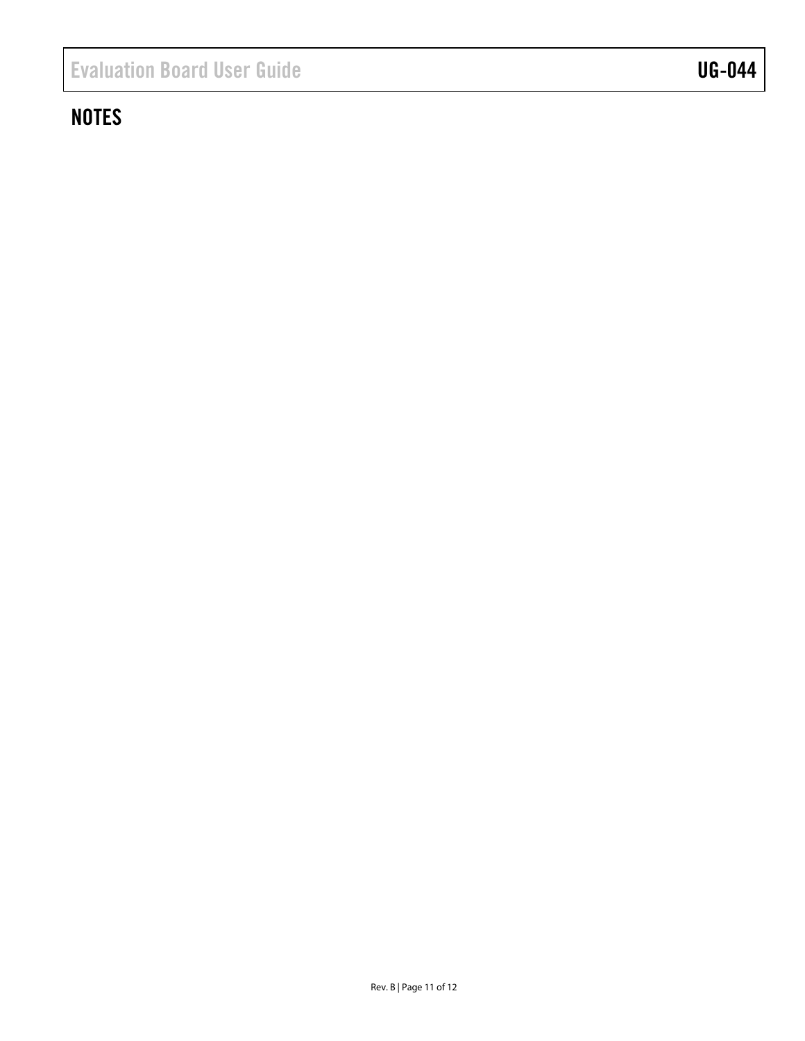## **NOTES**